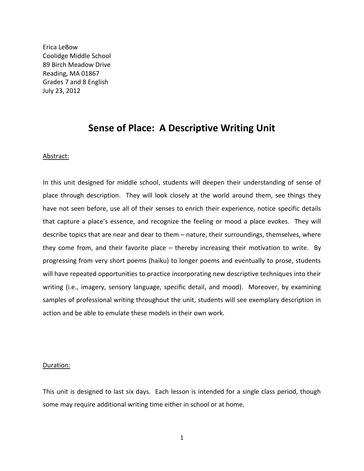Erica LeBow Coolidge Middle School 89 Birch Meadow Drive Reading, MA 01867 Grades 7 and 8 English July 23, 2012

# **Sense of Place: A Descriptive Writing Unit**

#### Abstract:

In this unit designed for middle school, students will deepen their understanding of sense of place through description. They will look closely at the world around them, see things they have not seen before, use all of their senses to enrich their experience, notice specific details that capture a place's essence, and recognize the feeling or mood a place evokes. They will describe topics that are near and dear to them – nature, their surroundings, themselves, where they come from, and their favorite place – thereby increasing their motivation to write. By progressing from very short poems (haiku) to longer poems and eventually to prose, students will have repeated opportunities to practice incorporating new descriptive techniques into their writing (i.e., imagery, sensory language, specific detail, and mood). Moreover, by examining samples of professional writing throughout the unit, students will see exemplary description in action and be able to emulate these models in their own work.

#### Duration:

This unit is designed to last six days. Each lesson is intended for a single class period, though some may require additional writing time either in school or at home.

1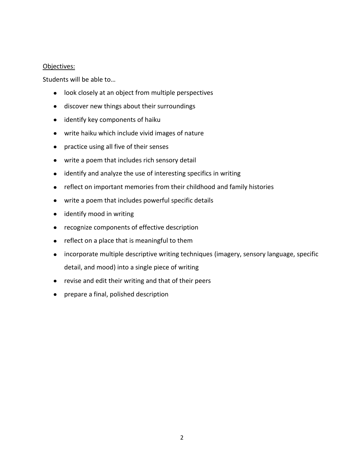### Objectives:

Students will be able to…

- look closely at an object from multiple perspectives
- discover new things about their surroundings
- identify key components of haiku
- write haiku which include vivid images of nature
- practice using all five of their senses
- write a poem that includes rich sensory detail
- identify and analyze the use of interesting specifics in writing
- reflect on important memories from their childhood and family histories
- write a poem that includes powerful specific details
- identify mood in writing
- recognize components of effective description
- reflect on a place that is meaningful to them
- incorporate multiple descriptive writing techniques (imagery, sensory language, specific detail, and mood) into a single piece of writing
- revise and edit their writing and that of their peers
- prepare a final, polished description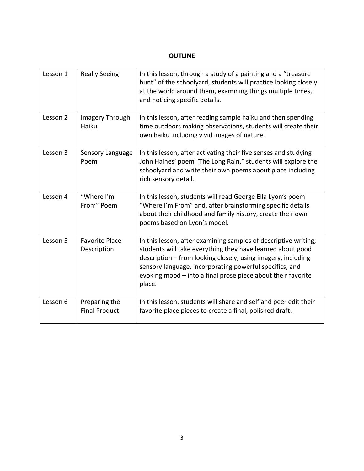# **OUTLINE**

| Lesson 1 | <b>Really Seeing</b>                  | In this lesson, through a study of a painting and a "treasure<br>hunt" of the schoolyard, students will practice looking closely<br>at the world around them, examining things multiple times,<br>and noticing specific details.                                                                                                   |
|----------|---------------------------------------|------------------------------------------------------------------------------------------------------------------------------------------------------------------------------------------------------------------------------------------------------------------------------------------------------------------------------------|
| Lesson 2 | Imagery Through<br>Haiku              | In this lesson, after reading sample haiku and then spending<br>time outdoors making observations, students will create their<br>own haiku including vivid images of nature.                                                                                                                                                       |
| Lesson 3 | Sensory Language<br>Poem              | In this lesson, after activating their five senses and studying<br>John Haines' poem "The Long Rain," students will explore the<br>schoolyard and write their own poems about place including<br>rich sensory detail.                                                                                                              |
| Lesson 4 | "Where I'm<br>From" Poem              | In this lesson, students will read George Ella Lyon's poem<br>"Where I'm From" and, after brainstorming specific details<br>about their childhood and family history, create their own<br>poems based on Lyon's model.                                                                                                             |
| Lesson 5 | <b>Favorite Place</b><br>Description  | In this lesson, after examining samples of descriptive writing,<br>students will take everything they have learned about good<br>description - from looking closely, using imagery, including<br>sensory language, incorporating powerful specifics, and<br>evoking mood - into a final prose piece about their favorite<br>place. |
| Lesson 6 | Preparing the<br><b>Final Product</b> | In this lesson, students will share and self and peer edit their<br>favorite place pieces to create a final, polished draft.                                                                                                                                                                                                       |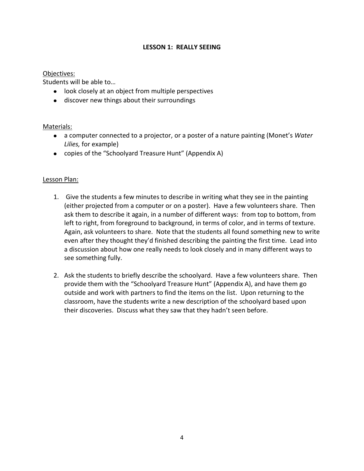# **LESSON 1: REALLY SEEING**

# Objectives:

Students will be able to…

- look closely at an object from multiple perspectives
- discover new things about their surroundings

# Materials:

- a computer connected to a projector, or a poster of a nature painting (Monet's *Water Lilies,* for example)
- copies of the "Schoolyard Treasure Hunt" (Appendix A)

- 1. Give the students a few minutes to describe in writing what they see in the painting (either projected from a computer or on a poster). Have a few volunteers share. Then ask them to describe it again, in a number of different ways: from top to bottom, from left to right, from foreground to background, in terms of color, and in terms of texture. Again, ask volunteers to share. Note that the students all found something new to write even after they thought they'd finished describing the painting the first time. Lead into a discussion about how one really needs to look closely and in many different ways to see something fully.
- 2. Ask the students to briefly describe the schoolyard. Have a few volunteers share. Then provide them with the "Schoolyard Treasure Hunt" (Appendix A), and have them go outside and work with partners to find the items on the list. Upon returning to the classroom, have the students write a new description of the schoolyard based upon their discoveries. Discuss what they saw that they hadn't seen before.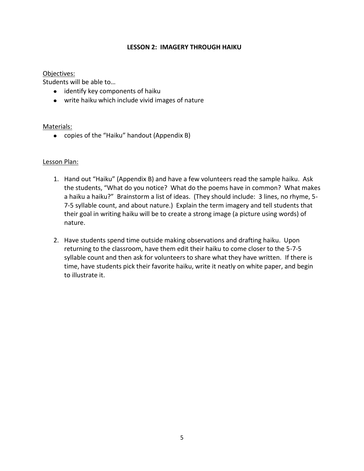# **LESSON 2: IMAGERY THROUGH HAIKU**

# Objectives:

Students will be able to…

- identify key components of haiku
- write haiku which include vivid images of nature

# Materials:

copies of the "Haiku" handout (Appendix B)

- 1. Hand out "Haiku" (Appendix B) and have a few volunteers read the sample haiku. Ask the students, "What do you notice? What do the poems have in common? What makes a haiku a haiku?" Brainstorm a list of ideas. (They should include: 3 lines, no rhyme, 5- 7-5 syllable count, and about nature.) Explain the term imagery and tell students that their goal in writing haiku will be to create a strong image (a picture using words) of nature.
- 2. Have students spend time outside making observations and drafting haiku. Upon returning to the classroom, have them edit their haiku to come closer to the 5-7-5 syllable count and then ask for volunteers to share what they have written. If there is time, have students pick their favorite haiku, write it neatly on white paper, and begin to illustrate it.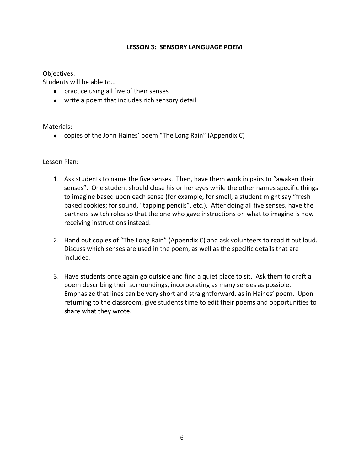# **LESSON 3: SENSORY LANGUAGE POEM**

# Objectives:

Students will be able to…

- practice using all five of their senses
- write a poem that includes rich sensory detail

# Materials:

copies of the John Haines' poem "The Long Rain" (Appendix C)

- 1. Ask students to name the five senses. Then, have them work in pairs to "awaken their senses". One student should close his or her eyes while the other names specific things to imagine based upon each sense (for example, for smell, a student might say "fresh baked cookies; for sound, "tapping pencils", etc.). After doing all five senses, have the partners switch roles so that the one who gave instructions on what to imagine is now receiving instructions instead.
- 2. Hand out copies of "The Long Rain" (Appendix C) and ask volunteers to read it out loud. Discuss which senses are used in the poem, as well as the specific details that are included.
- 3. Have students once again go outside and find a quiet place to sit. Ask them to draft a poem describing their surroundings, incorporating as many senses as possible. Emphasize that lines can be very short and straightforward, as in Haines' poem. Upon returning to the classroom, give students time to edit their poems and opportunities to share what they wrote.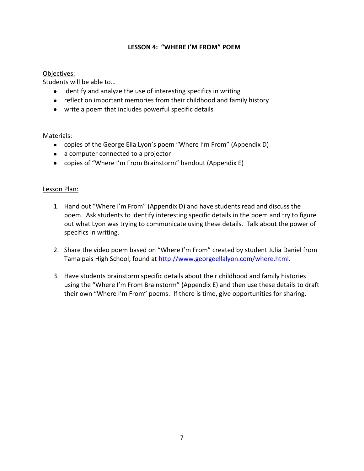# **LESSON 4: "WHERE I'M FROM" POEM**

# Objectives:

Students will be able to…

- identify and analyze the use of interesting specifics in writing
- reflect on important memories from their childhood and family history
- write a poem that includes powerful specific details

# Materials:

- copies of the George Ella Lyon's poem "Where I'm From" (Appendix D)
- a computer connected to a projector
- copies of "Where I'm From Brainstorm" handout (Appendix E)

- 1. Hand out "Where I'm From" (Appendix D) and have students read and discuss the poem. Ask students to identify interesting specific details in the poem and try to figure out what Lyon was trying to communicate using these details. Talk about the power of specifics in writing.
- 2. Share the video poem based on "Where I'm From" created by student Julia Daniel from Tamalpais High School, found at [http://www.georgeellalyon.com/where.html.](http://www.georgeellalyon.com/where.html)
- 3. Have students brainstorm specific details about their childhood and family histories using the "Where I'm From Brainstorm" (Appendix E) and then use these details to draft their own "Where I'm From" poems. If there is time, give opportunities for sharing.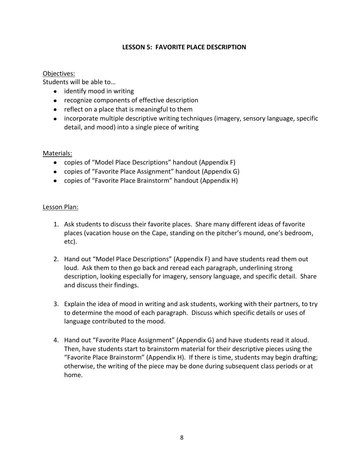# **LESSON 5: FAVORITE PLACE DESCRIPTION**

# Objectives:

Students will be able to…

- identify mood in writing
- recognize components of effective description
- reflect on a place that is meaningful to them
- incorporate multiple descriptive writing techniques (imagery, sensory language, specific detail, and mood) into a single piece of writing

# Materials:

- copies of "Model Place Descriptions" handout (Appendix F)
- copies of "Favorite Place Assignment" handout (Appendix G)
- copies of "Favorite Place Brainstorm" handout (Appendix H)

- 1. Ask students to discuss their favorite places. Share many different ideas of favorite places (vacation house on the Cape, standing on the pitcher's mound, one's bedroom, etc).
- 2. Hand out "Model Place Descriptions" (Appendix F) and have students read them out loud. Ask them to then go back and reread each paragraph, underlining strong description, looking especially for imagery, sensory language, and specific detail. Share and discuss their findings.
- 3. Explain the idea of mood in writing and ask students, working with their partners, to try to determine the mood of each paragraph. Discuss which specific details or uses of language contributed to the mood.
- 4. Hand out "Favorite Place Assignment" (Appendix G) and have students read it aloud. Then, have students start to brainstorm material for their descriptive pieces using the "Favorite Place Brainstorm" (Appendix H). If there is time, students may begin drafting; otherwise, the writing of the piece may be done during subsequent class periods or at home.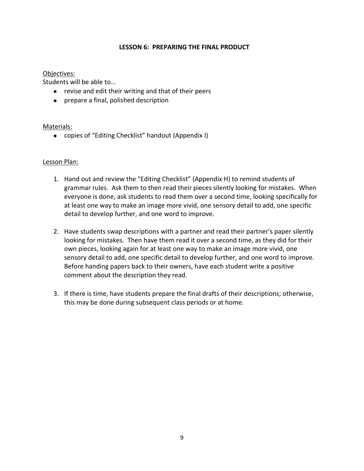# **LESSON 6: PREPARING THE FINAL PRODUCT**

# Objectives:

Students will be able to…

- revise and edit their writing and that of their peers
- prepare a final, polished description

# Materials:

copies of "Editing Checklist" handout (Appendix I)

- 1. Hand out and review the "Editing Checklist" (Appendix H) to remind students of grammar rules. Ask them to then read their pieces silently looking for mistakes. When everyone is done, ask students to read them over a second time, looking specifically for at least one way to make an image more vivid, one sensory detail to add, one specific detail to develop further, and one word to improve.
- 2. Have students swap descriptions with a partner and read their partner's paper silently looking for mistakes. Then have them read it over a second time, as they did for their own pieces, looking again for at least one way to make an image more vivid, one sensory detail to add, one specific detail to develop further, and one word to improve. Before handing papers back to their owners, have each student write a positive comment about the description they read.
- 3. If there is time, have students prepare the final drafts of their descriptions; otherwise, this may be done during subsequent class periods or at home.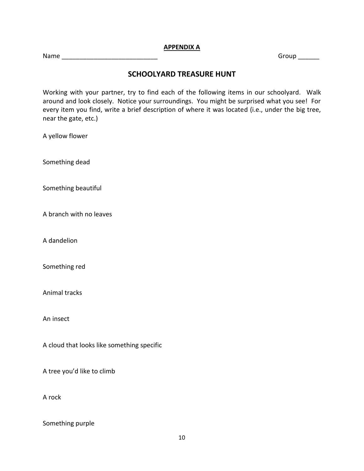### **APPENDIX A**

Name \_\_\_\_\_\_\_\_\_\_\_\_\_\_\_\_\_\_\_\_\_\_\_\_\_\_\_ Group \_\_\_\_\_\_

# **SCHOOLYARD TREASURE HUNT**

Working with your partner, try to find each of the following items in our schoolyard. Walk around and look closely. Notice your surroundings. You might be surprised what you see! For every item you find, write a brief description of where it was located (i.e., under the big tree, near the gate, etc.)

A yellow flower

Something dead

Something beautiful

A branch with no leaves

A dandelion

Something red

Animal tracks

An insect

A cloud that looks like something specific

A tree you'd like to climb

A rock

Something purple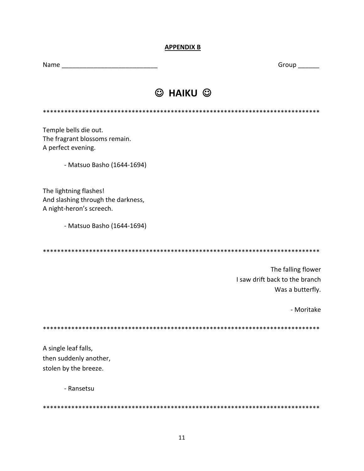# **APPENDIX B**

| Name and the state of the state of the state of the state of the state of the state of the state of the state<br>Group |  |  |  |  |
|------------------------------------------------------------------------------------------------------------------------|--|--|--|--|
| $\odot$ HAIKU $\odot$                                                                                                  |  |  |  |  |
|                                                                                                                        |  |  |  |  |
| Temple bells die out.<br>The fragrant blossoms remain.<br>A perfect evening.                                           |  |  |  |  |
| - Matsuo Basho (1644-1694)                                                                                             |  |  |  |  |
| The lightning flashes!<br>And slashing through the darkness,<br>A night-heron's screech.                               |  |  |  |  |
| - Matsuo Basho (1644-1694)                                                                                             |  |  |  |  |
|                                                                                                                        |  |  |  |  |
| The falling flower                                                                                                     |  |  |  |  |
| I saw drift back to the branch                                                                                         |  |  |  |  |
| Was a butterfly.                                                                                                       |  |  |  |  |
| - Moritake                                                                                                             |  |  |  |  |
|                                                                                                                        |  |  |  |  |
| A single leaf falls,                                                                                                   |  |  |  |  |
| then suddenly another,                                                                                                 |  |  |  |  |
| stolen by the breeze.                                                                                                  |  |  |  |  |
| - Ransetsu                                                                                                             |  |  |  |  |

\*\*\*\*\*\*\*\*\*\*\*\*\*\*\*\*\*\*\*\*\*\*\*\*\*\*\*\*\*\*\*\*\*\*\*\*\*\*\*\*\*\*\*\*\*\*\*\*\*\*\*\*\*\*\*\*\*\*\*\*\*\*\*\*\*\*\*\*\*\*\*\*\*\*\*\*\*\*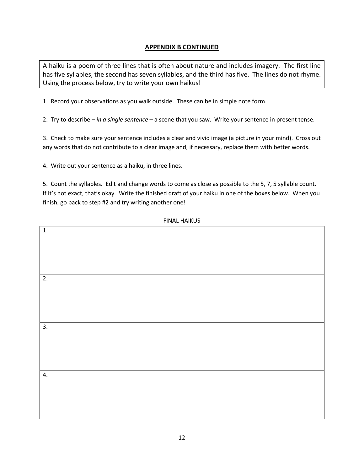# **APPENDIX B CONTINUED**

A haiku is a poem of three lines that is often about nature and includes imagery. The first line has five syllables, the second has seven syllables, and the third has five. The lines do not rhyme. Using the process below, try to write your own haikus!

1. Record your observations as you walk outside. These can be in simple note form.

2. Try to describe – *in a single sentence* – a scene that you saw. Write your sentence in present tense.

3. Check to make sure your sentence includes a clear and vivid image (a picture in your mind). Cross out any words that do not contribute to a clear image and, if necessary, replace them with better words.

4. Write out your sentence as a haiku, in three lines.

5. Count the syllables. Edit and change words to come as close as possible to the 5, 7, 5 syllable count. If it's not exact, that's okay. Write the finished draft of your haiku in one of the boxes below. When you finish, go back to step #2 and try writing another one!

#### FINAL HAIKUS

| 1. |  |
|----|--|
|    |  |
|    |  |
|    |  |
| 2. |  |
|    |  |
|    |  |
|    |  |
| 3. |  |
|    |  |
|    |  |
|    |  |
| 4. |  |
|    |  |
|    |  |
|    |  |
|    |  |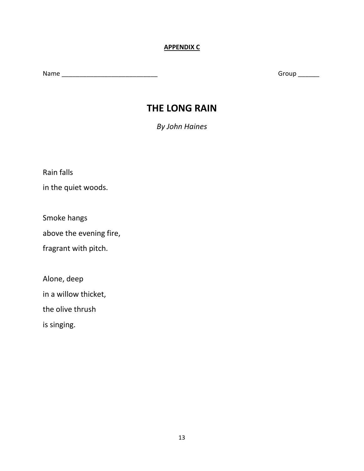# **APPENDIX C**

Name \_\_\_\_\_\_\_\_\_\_\_\_\_\_\_\_\_\_\_\_\_\_\_\_\_\_\_ Group \_\_\_\_\_\_

# **THE LONG RAIN**

*By John Haines*

Rain falls

in the quiet woods.

Smoke hangs

above the evening fire,

fragrant with pitch.

Alone, deep

in a willow thicket,

the olive thrush

is singing.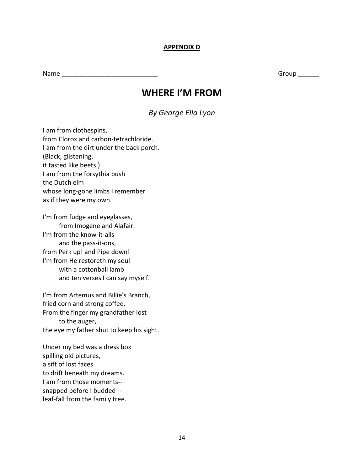### **APPENDIX D**

Name \_\_\_\_\_\_\_\_\_\_\_\_\_\_\_\_\_\_\_\_\_\_\_\_\_\_\_ Group \_\_\_\_\_\_

# **WHERE I'M FROM**

*By George Ella Lyon*

I am from clothespins, from Clorox and carbon-tetrachloride. I am from the dirt under the back porch. (Black, glistening, it tasted like beets.) I am from the forsythia bush the Dutch elm whose long-gone limbs I remember as if they were my own.

I'm from fudge and eyeglasses, from Imogene and Alafair. I'm from the know-it-alls and the pass-it-ons, from Perk up! and Pipe down! I'm from He restoreth my soul with a cottonball lamb and ten verses I can say myself.

I'm from Artemus and Billie's Branch, fried corn and strong coffee. From the finger my grandfather lost to the auger, the eye my father shut to keep his sight.

Under my bed was a dress box spilling old pictures, a sift of lost faces to drift beneath my dreams. I am from those moments- snapped before I budded - leaf-fall from the family tree.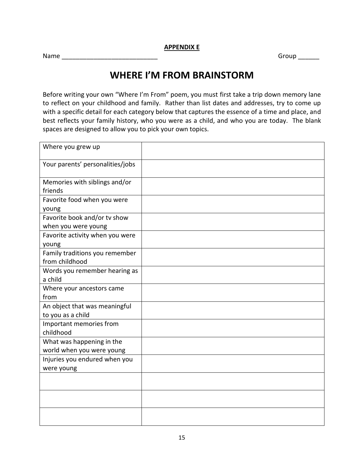Name \_\_\_\_\_\_\_\_\_\_\_\_\_\_\_\_\_\_\_\_\_\_\_\_\_\_\_ Group \_\_\_\_\_\_

# **WHERE I'M FROM BRAINSTORM**

Before writing your own "Where I'm From" poem, you must first take a trip down memory lane to reflect on your childhood and family. Rather than list dates and addresses, try to come up with a specific detail for each category below that captures the essence of a time and place, and best reflects your family history, who you were as a child, and who you are today. The blank spaces are designed to allow you to pick your own topics.

| Where you grew up                                      |  |
|--------------------------------------------------------|--|
| Your parents' personalities/jobs                       |  |
| Memories with siblings and/or<br>friends               |  |
| Favorite food when you were<br>young                   |  |
| Favorite book and/or tv show<br>when you were young    |  |
| Favorite activity when you were<br>young               |  |
| Family traditions you remember<br>from childhood       |  |
| Words you remember hearing as<br>a child               |  |
| Where your ancestors came<br>from                      |  |
| An object that was meaningful<br>to you as a child     |  |
| Important memories from<br>childhood                   |  |
| What was happening in the<br>world when you were young |  |
| Injuries you endured when you<br>were young            |  |
|                                                        |  |
|                                                        |  |
|                                                        |  |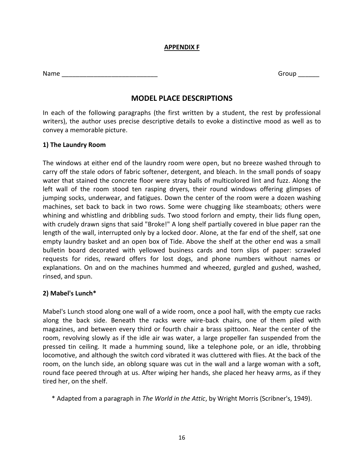### **APPENDIX F**

| Name |  |
|------|--|
|------|--|

Name \_\_\_\_\_\_\_\_\_\_\_\_\_\_\_\_\_\_\_\_\_\_\_\_\_\_\_ Group \_\_\_\_\_\_

# **MODEL PLACE DESCRIPTIONS**

In each of the following paragraphs (the first written by a student, the rest by professional writers), the author uses precise [descriptive](http://grammar.about.com/od/d/g/description2ter.htm) [details](http://grammar.about.com/od/d/g/Detail-term.htm) to evoke a distinctive [mood](http://grammar.about.com/od/mo/g/Mood-Composition-And-Literature.htm) as well as to convey a memorable picture.

# **1) The Laundry Room**

The windows at either end of the laundry room were open, but no breeze washed through to carry off the stale odors of fabric softener, detergent, and bleach. In the small ponds of soapy water that stained the concrete floor were stray balls of multicolored lint and fuzz. Along the left wall of the room stood ten rasping dryers, their round windows offering glimpses of jumping socks, underwear, and fatigues. Down the center of the room were a dozen washing machines, set back to back in two rows. Some were chugging like steamboats; others were whining and whistling and dribbling suds. Two stood forlorn and empty, their lids flung open, with crudely drawn signs that said "Broke!" A long shelf partially covered in blue paper ran the length of the wall, interrupted only by a locked door. Alone, at the far end of the shelf, sat one empty laundry basket and an open box of Tide. Above the shelf at the other end was a small bulletin board decorated with yellowed business cards and torn slips of paper: scrawled requests for rides, reward offers for lost dogs, and phone numbers without names or explanations. On and on the machines hummed and wheezed, gurgled and gushed, washed, rinsed, and spun.

# **2) Mabel's Lunch\***

Mabel's Lunch stood along one wall of a wide room, once a pool hall, with the empty cue racks along the back side. Beneath the racks were wire-back chairs, one of them piled with magazines, and between every third or fourth chair a brass spittoon. Near the center of the room, revolving slowly as if the idle air was water, a large propeller fan suspended from the pressed tin ceiling. It made a humming sound, like a telephone pole, or an idle, throbbing locomotive, and although the switch cord vibrated it was cluttered with flies. At the back of the room, on the lunch side, an oblong square was cut in the wall and a large woman with a soft, round face peered through at us. After wiping her hands, she placed her heavy arms, as if they tired her, on the shelf.

\* Adapted from a paragraph in *The World in the Attic*, by Wright Morris (Scribner's, 1949).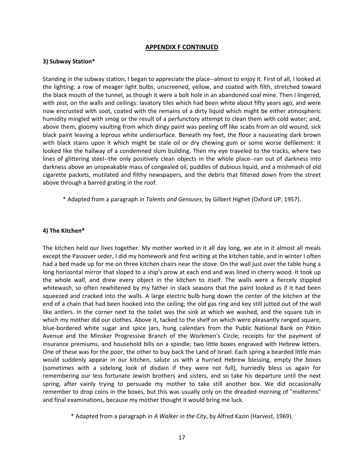#### **APPENDIX F CONTINUED**

#### **3) Subway Station\***

Standing in the subway station, I began to appreciate the place--almost to enjoy it. First of all, I looked at the lighting: a row of meager light bulbs, unscreened, yellow, and coated with filth, stretched toward the black mouth of the tunnel, as though it were a bolt hole in an abandoned coal mine. Then I lingered, with zest, on the walls and ceilings: lavatory tiles which had been white about fifty years ago, and were now encrusted with soot, coated with the remains of a dirty liquid which might be either atmospheric humidity mingled with smog or the result of a perfunctory attempt to clean them with cold water; and, above them, gloomy vaulting from which dingy paint was peeling off like scabs from an old wound, sick black paint leaving a leprous white undersurface. Beneath my feet, the floor a nauseating dark brown with black stains upon it which might be stale oil or dry chewing gum or some worse defilement: it looked like the hallway of a condemned slum building. Then my eye traveled to the tracks, where two lines of glittering steel--the only positively clean objects in the whole place--ran out of darkness into darkness above an unspeakable mass of congealed oil, puddles of dubious liquid, and a mishmash of old cigarette packets, mutilated and filthy newspapers, and the debris that filtered down from the street above through a barred grating in the roof.

\* Adapted from a paragraph in *Talents and Geniuses*, by Gilbert Highet (Oxford UP, 1957).

### **4) The Kitchen\***

The kitchen held our lives together. My mother worked in it all day long, we ate in it almost all meals except the Passover seder, I did my homework and first writing at the kitchen table, and in winter I often had a bed made up for me on three kitchen chairs near the stove. On the wall just over the table hung a long horizontal mirror that sloped to a ship's prow at each end and was lined in cherry wood. It took up the whole wall, and drew every object in the kitchen to itself. The walls were a fiercely stippled whitewash, so often rewhitened by my father in slack seasons that the paint looked as if it had been squeezed and cracked into the walls. A large electric bulb hung down the center of the kitchen at the end of a chain that had been hooked into the ceiling; the old gas ring and key still jutted out of the wall like antlers. In the corner next to the toilet was the sink at which we washed, and the square tub in which my mother did our clothes. Above it, tacked to the shelf on which were pleasantly ranged square, blue-bordered white sugar and spice jars, hung calendars from the Public National Bank on Pitkin Avenue and the Minsker Progressive Branch of the Workmen's Circle; receipts for the payment of insurance premiums, and household bills on a spindle; two little boxes engraved with Hebrew letters. One of these was for the poor, the other to buy back the Land of Israel. Each spring a bearded little man would suddenly appear in our kitchen, salute us with a hurried Hebrew blessing, empty the boxes (sometimes with a sidelong look of disdain if they were not full), hurriedly bless us again for remembering our less fortunate Jewish brothers and sisters, and so take his departure until the next spring, after vainly trying to persuade my mother to take still another box. We did occasionally remember to drop coins in the boxes, but this was usually only on the dreaded morning of "midterms" and final examinations, because my mother thought it would bring me luck.

\* Adapted from a paragraph in *A Walker in the City*, by Alfred Kazin (Harvest, 1969).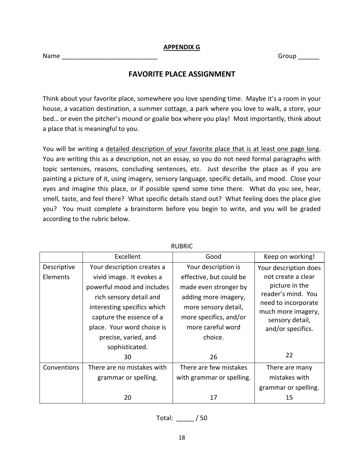# **APPENDIX G**

Name \_\_\_\_\_\_\_\_\_\_\_\_\_\_\_\_\_\_\_\_\_\_\_\_\_\_\_ Group \_\_\_\_\_\_

# **FAVORITE PLACE ASSIGNMENT**

Think about your favorite place, somewhere you love spending time. Maybe it's a room in your house, a vacation destination, a summer cottage, a park where you love to walk, a store, your bed… or even the pitcher's mound or goalie box where you play! Most importantly, think about a place that is meaningful to you.

You will be writing a detailed description of your favorite place that is at least one page long. You are writing this as a description, not an essay, so you do not need formal paragraphs with topic sentences, reasons, concluding sentences, etc. Just describe the place as if you are painting a picture of it, using imagery, sensory language, specific details, and mood. Close your eyes and imagine this place, or if possible spend some time there. What do you see, hear, smell, taste, and feel there? What specific details stand out? What feeling does the place give you? You must complete a brainstorm before you begin to write, and you will be graded according to the rubric below.

|                                      | Excellent                   | Good                      | Keep on working!                          |
|--------------------------------------|-----------------------------|---------------------------|-------------------------------------------|
| Descriptive                          | Your description creates a  | Your description is       | Your description does                     |
| Elements<br>vivid image. It evokes a |                             | effective, but could be   | not create a clear                        |
|                                      | powerful mood and includes  | made even stronger by     | picture in the                            |
|                                      | rich sensory detail and     | adding more imagery,      | reader's mind. You                        |
|                                      | interesting specifics which | more sensory detail,      | need to incorporate<br>much more imagery, |
|                                      | capture the essence of a    | more specifics, and/or    | sensory detail,                           |
|                                      | place. Your word choice is  | more careful word         | and/or specifics.                         |
|                                      | precise, varied, and        | choice.                   |                                           |
|                                      | sophisticated.              |                           |                                           |
|                                      | 30                          | 26                        | 22                                        |
| Conventions                          | There are no mistakes with  | There are few mistakes    | There are many                            |
|                                      | grammar or spelling.        | with grammar or spelling. | mistakes with                             |
|                                      |                             |                           | grammar or spelling.                      |
|                                      | 20                          | 17                        | 15                                        |

RUBRIC

Total: \_\_\_\_\_ / 50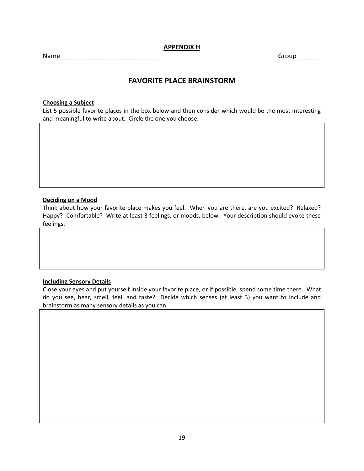### **APPENDIX H**

Name \_\_\_\_\_\_\_\_\_\_\_\_\_\_\_\_\_\_\_\_\_\_\_\_\_\_\_ Group \_\_\_\_\_\_

# **FAVORITE PLACE BRAINSTORM**

### **Choosing a Subject**

List 5 possible favorite places in the box below and then consider which would be the most interesting and meaningful to write about. Circle the one you choose.

### **Deciding on a Mood**

Think about how your favorite place makes you feel. When you are there, are you excited? Relaxed? Happy? Comfortable? Write at least 3 feelings, or moods, below. Your description should evoke these feelings.

### **Including Sensory Details**

Close your eyes and put yourself inside your favorite place, or if possible, spend some time there. What do you see, hear, smell, feel, and taste? Decide which senses (at least 3) you want to include and brainstorm as many sensory details as you can.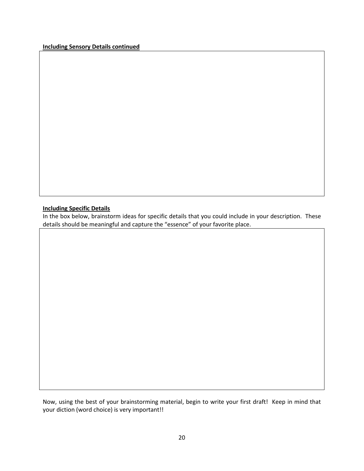**Including Sensory Details continued**

### **Including Specific Details**

In the box below, brainstorm ideas for specific details that you could include in your description. These details should be meaningful and capture the "essence" of your favorite place.

Now, using the best of your brainstorming material, begin to write your first draft! Keep in mind that your diction (word choice) is very important!!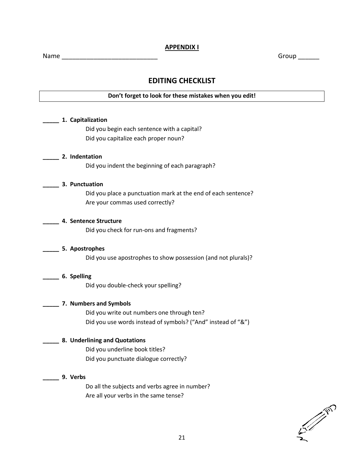# **APPENDIX I**

Name \_\_\_\_\_\_\_\_\_\_\_\_\_\_\_\_\_\_\_\_\_\_\_\_\_\_\_ Group \_\_\_\_\_\_

# **EDITING CHECKLIST**

# **Don't forget to look for these mistakes when you edit!**

| 1. Capitalization                                             |
|---------------------------------------------------------------|
| Did you begin each sentence with a capital?                   |
| Did you capitalize each proper noun?                          |
| 2. Indentation                                                |
|                                                               |
| Did you indent the beginning of each paragraph?               |
| 3. Punctuation                                                |
| Did you place a punctuation mark at the end of each sentence? |
| Are your commas used correctly?                               |
| 4. Sentence Structure                                         |
| Did you check for run-ons and fragments?                      |
|                                                               |
| 5. Apostrophes                                                |
| Did you use apostrophes to show possession (and not plurals)? |
| 6. Spelling                                                   |
| Did you double-check your spelling?                           |
|                                                               |
| 7. Numbers and Symbols                                        |
| Did you write out numbers one through ten?                    |
| Did you use words instead of symbols? ("And" instead of "&")  |
| 8. Underlining and Quotations                                 |
| Did you underline book titles?                                |
| Did you punctuate dialogue correctly?                         |
| 9. Verbs                                                      |
| Do all the subjects and verbs agree in number?                |
| Are all your verbs in the same tense?                         |

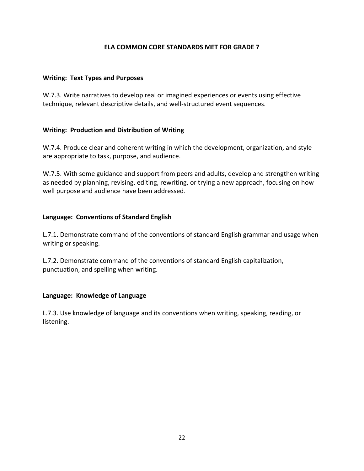# **ELA COMMON CORE STANDARDS MET FOR GRADE 7**

# **Writing: Text Types and Purposes**

W.7.3. Write narratives to develop real or imagined experiences or events using effective technique, relevant descriptive details, and well-structured event sequences.

### **Writing: Production and Distribution of Writing**

W.7.4. Produce clear and coherent writing in which the development, organization, and style are appropriate to task, purpose, and audience.

W.7.5. With some guidance and support from peers and adults, develop and strengthen writing as needed by planning, revising, editing, rewriting, or trying a new approach, focusing on how well purpose and audience have been addressed.

### **Language: Conventions of Standard English**

L.7.1. Demonstrate command of the conventions of standard English grammar and usage when writing or speaking.

L.7.2. Demonstrate command of the conventions of standard English capitalization, punctuation, and spelling when writing.

### **Language: Knowledge of Language**

L.7.3. Use knowledge of language and its conventions when writing, speaking, reading, or listening.